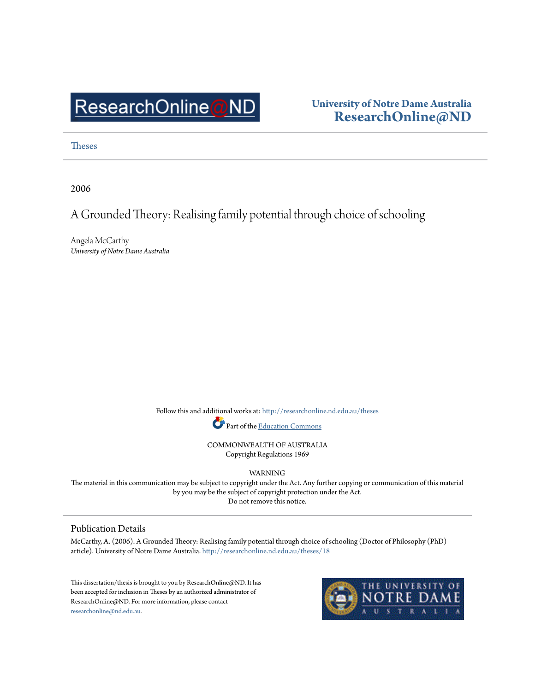# ResearchOnline@ND

### **University of Notre Dame Australia [ResearchOnline@ND](http://researchonline.nd.edu.au?utm_source=researchonline.nd.edu.au%2Ftheses%2F18&utm_medium=PDF&utm_campaign=PDFCoverPages)**

[Theses](http://researchonline.nd.edu.au/theses?utm_source=researchonline.nd.edu.au%2Ftheses%2F18&utm_medium=PDF&utm_campaign=PDFCoverPages)

2006

## A Grounded Theory: Realising family potential through choice of schooling

Angela McCarthy *University of Notre Dame Australia*

> Follow this and additional works at: [http://researchonline.nd.edu.au/theses](http://researchonline.nd.edu.au/theses?utm_source=researchonline.nd.edu.au%2Ftheses%2F18&utm_medium=PDF&utm_campaign=PDFCoverPages) Part of the [Education Commons](http://network.bepress.com/hgg/discipline/784?utm_source=researchonline.nd.edu.au%2Ftheses%2F18&utm_medium=PDF&utm_campaign=PDFCoverPages)

> > COMMONWEALTH OF AUSTRALIA Copyright Regulations 1969

> > > WARNING

The material in this communication may be subject to copyright under the Act. Any further copying or communication of this material by you may be the subject of copyright protection under the Act. Do not remove this notice.

#### Publication Details

McCarthy, A. (2006). A Grounded Theory: Realising family potential through choice of schooling (Doctor of Philosophy (PhD) article). University of Notre Dame Australia. [http://researchonline.nd.edu.au/theses/18](http://researchonline.nd.edu.au/theses/18?utm_source=researchonline.nd.edu.au%2Ftheses%2F18&utm_medium=PDF&utm_campaign=PDFCoverPages)

This dissertation/thesis is brought to you by ResearchOnline@ND. It has been accepted for inclusion in Theses by an authorized administrator of ResearchOnline@ND. For more information, please contact [researchonline@nd.edu.au.](mailto:researchonline@nd.edu.au)

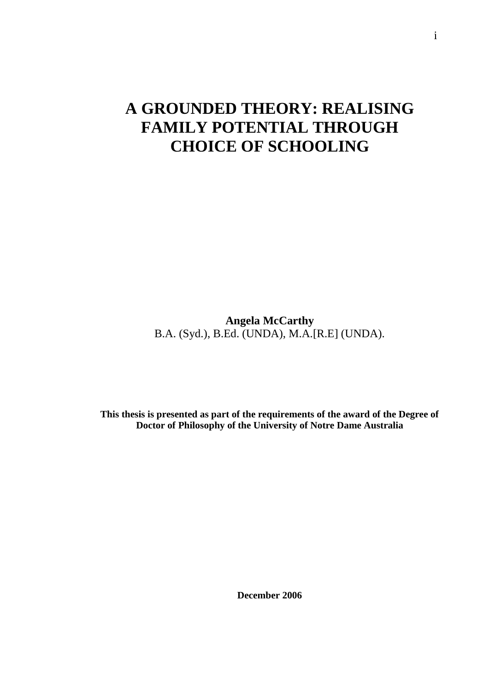## **A GROUNDED THEORY: REALISING FAMILY POTENTIAL THROUGH CHOICE OF SCHOOLING**

**Angela McCarthy**  B.A. (Syd.), B.Ed. (UNDA), M.A.[R.E] (UNDA).

**This thesis is presented as part of the requirements of the award of the Degree of Doctor of Philosophy of the University of Notre Dame Australia** 

**December 2006**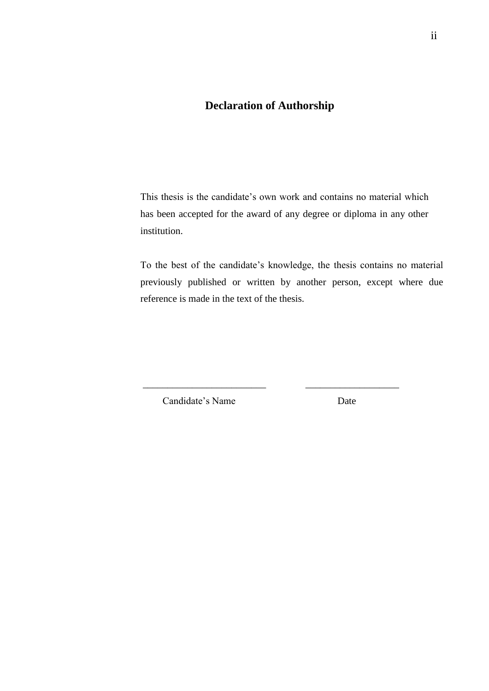## **Declaration of Authorship**

This thesis is the candidate's own work and contains no material which has been accepted for the award of any degree or diploma in any other institution.

To the best of the candidate's knowledge, the thesis contains no material previously published or written by another person, except where due reference is made in the text of the thesis.

\_\_\_\_\_\_\_\_\_\_\_\_\_\_\_\_\_\_\_\_\_\_\_\_\_ \_\_\_\_\_\_\_\_\_\_\_\_\_\_\_\_\_\_\_

Candidate's Name Date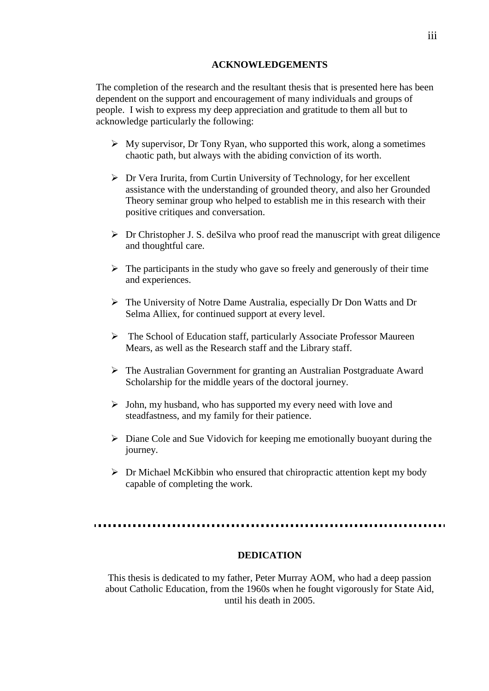#### **ACKNOWLEDGEMENTS**

The completion of the research and the resultant thesis that is presented here has been dependent on the support and encouragement of many individuals and groups of people. I wish to express my deep appreciation and gratitude to them all but to acknowledge particularly the following:

- $\triangleright$  My supervisor, Dr Tony Ryan, who supported this work, along a sometimes chaotic path, but always with the abiding conviction of its worth.
- $\triangleright$  Dr Vera Irurita, from Curtin University of Technology, for her excellent assistance with the understanding of grounded theory, and also her Grounded Theory seminar group who helped to establish me in this research with their positive critiques and conversation.
- $\triangleright$  Dr Christopher J. S. deSilva who proof read the manuscript with great diligence and thoughtful care.
- $\triangleright$  The participants in the study who gave so freely and generously of their time and experiences.
- The University of Notre Dame Australia, especially Dr Don Watts and Dr Selma Alliex, for continued support at every level.
- The School of Education staff, particularly Associate Professor Maureen Mears, as well as the Research staff and the Library staff.
- The Australian Government for granting an Australian Postgraduate Award Scholarship for the middle years of the doctoral journey.
- $\triangleright$  John, my husband, who has supported my every need with love and steadfastness, and my family for their patience.
- $\triangleright$  Diane Cole and Sue Vidovich for keeping me emotionally buoyant during the journey.
- $\triangleright$  Dr Michael McKibbin who ensured that chiropractic attention kept my body capable of completing the work.

#### **DEDICATION**

This thesis is dedicated to my father, Peter Murray AOM, who had a deep passion about Catholic Education, from the 1960s when he fought vigorously for State Aid, until his death in 2005.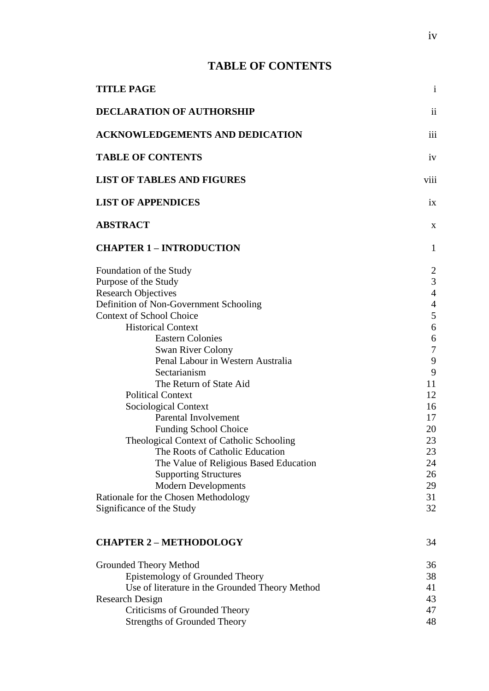## **TABLE OF CONTENTS**

| <b>TITLE PAGE</b>                                                                                                                                                                                                                                                                                                                                                                                                                                                                                                                                                                                                                         | $\mathbf{1}$                                                                                                                                                   |
|-------------------------------------------------------------------------------------------------------------------------------------------------------------------------------------------------------------------------------------------------------------------------------------------------------------------------------------------------------------------------------------------------------------------------------------------------------------------------------------------------------------------------------------------------------------------------------------------------------------------------------------------|----------------------------------------------------------------------------------------------------------------------------------------------------------------|
| <b>DECLARATION OF AUTHORSHIP</b>                                                                                                                                                                                                                                                                                                                                                                                                                                                                                                                                                                                                          | $\overline{\mathbf{u}}$                                                                                                                                        |
| <b>ACKNOWLEDGEMENTS AND DEDICATION</b>                                                                                                                                                                                                                                                                                                                                                                                                                                                                                                                                                                                                    | iii                                                                                                                                                            |
| <b>TABLE OF CONTENTS</b>                                                                                                                                                                                                                                                                                                                                                                                                                                                                                                                                                                                                                  | iv                                                                                                                                                             |
| <b>LIST OF TABLES AND FIGURES</b>                                                                                                                                                                                                                                                                                                                                                                                                                                                                                                                                                                                                         | viii                                                                                                                                                           |
| <b>LIST OF APPENDICES</b>                                                                                                                                                                                                                                                                                                                                                                                                                                                                                                                                                                                                                 | ix                                                                                                                                                             |
| <b>ABSTRACT</b>                                                                                                                                                                                                                                                                                                                                                                                                                                                                                                                                                                                                                           | X                                                                                                                                                              |
| <b>CHAPTER 1 - INTRODUCTION</b>                                                                                                                                                                                                                                                                                                                                                                                                                                                                                                                                                                                                           | $\mathbf{1}$                                                                                                                                                   |
| Foundation of the Study<br>Purpose of the Study<br><b>Research Objectives</b><br>Definition of Non-Government Schooling<br><b>Context of School Choice</b><br><b>Historical Context</b><br><b>Eastern Colonies</b><br><b>Swan River Colony</b><br>Penal Labour in Western Australia<br>Sectarianism<br>The Return of State Aid<br><b>Political Context</b><br><b>Sociological Context</b><br>Parental Involvement<br><b>Funding School Choice</b><br>Theological Context of Catholic Schooling<br>The Roots of Catholic Education<br>The Value of Religious Based Education<br><b>Supporting Structures</b><br><b>Modern Developments</b> | $\overline{2}$<br>3<br>$\overline{4}$<br>$\overline{4}$<br>5<br>6<br>6<br>$\overline{7}$<br>9<br>9<br>11<br>12<br>16<br>17<br>20<br>23<br>23<br>24<br>26<br>29 |
| Rationale for the Chosen Methodology<br>Significance of the Study                                                                                                                                                                                                                                                                                                                                                                                                                                                                                                                                                                         | 31<br>32                                                                                                                                                       |
| <b>CHAPTER 2 - METHODOLOGY</b>                                                                                                                                                                                                                                                                                                                                                                                                                                                                                                                                                                                                            | 34                                                                                                                                                             |
| Grounded Theory Method<br>Epistemology of Grounded Theory<br>Use of literature in the Grounded Theory Method<br><b>Research Design</b><br>Criticisms of Grounded Theory<br><b>Strengths of Grounded Theory</b>                                                                                                                                                                                                                                                                                                                                                                                                                            | 36<br>38<br>41<br>43<br>47<br>48                                                                                                                               |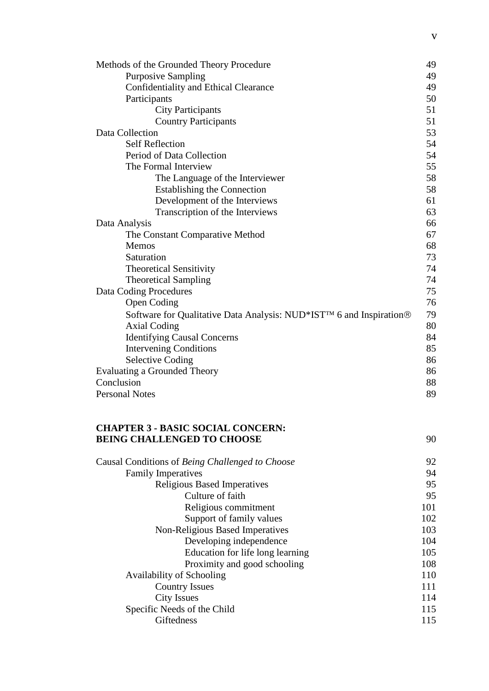| Methods of the Grounded Theory Procedure                            | 49 |
|---------------------------------------------------------------------|----|
| <b>Purposive Sampling</b>                                           | 49 |
| Confidentiality and Ethical Clearance                               | 49 |
| Participants                                                        | 50 |
| <b>City Participants</b>                                            | 51 |
| <b>Country Participants</b>                                         | 51 |
| Data Collection                                                     | 53 |
| <b>Self Reflection</b>                                              | 54 |
| Period of Data Collection                                           | 54 |
| The Formal Interview                                                | 55 |
| The Language of the Interviewer                                     | 58 |
| <b>Establishing the Connection</b>                                  | 58 |
| Development of the Interviews                                       | 61 |
| Transcription of the Interviews                                     | 63 |
| Data Analysis                                                       | 66 |
| The Constant Comparative Method                                     | 67 |
| Memos                                                               | 68 |
| Saturation                                                          | 73 |
| <b>Theoretical Sensitivity</b>                                      | 74 |
| <b>Theoretical Sampling</b>                                         | 74 |
| Data Coding Procedures                                              | 75 |
| <b>Open Coding</b>                                                  | 76 |
| Software for Qualitative Data Analysis: NUD*IST™ 6 and Inspiration® | 79 |
| <b>Axial Coding</b>                                                 | 80 |
| <b>Identifying Causal Concerns</b>                                  | 84 |
| <b>Intervening Conditions</b>                                       | 85 |
| <b>Selective Coding</b>                                             | 86 |
| Evaluating a Grounded Theory                                        | 86 |
| Conclusion                                                          | 88 |
| <b>Personal Notes</b>                                               | 89 |
|                                                                     |    |

#### **CHAPTER 3 - BASIC SOCIAL CONCERN: BEING CHALLENGED TO CHOOSE** 90

| Causal Conditions of Being Challenged to Choose | 92  |
|-------------------------------------------------|-----|
| <b>Family Imperatives</b>                       | 94  |
| <b>Religious Based Imperatives</b>              | 95  |
| Culture of faith                                | 95  |
| Religious commitment                            | 101 |
| Support of family values                        | 102 |
| Non-Religious Based Imperatives                 | 103 |
| Developing independence                         | 104 |
| Education for life long learning                | 105 |
| Proximity and good schooling                    | 108 |
| Availability of Schooling                       | 110 |
| <b>Country Issues</b>                           | 111 |
| <b>City Issues</b>                              | 114 |
| Specific Needs of the Child                     | 115 |
| <b>Giftedness</b>                               | 115 |
|                                                 |     |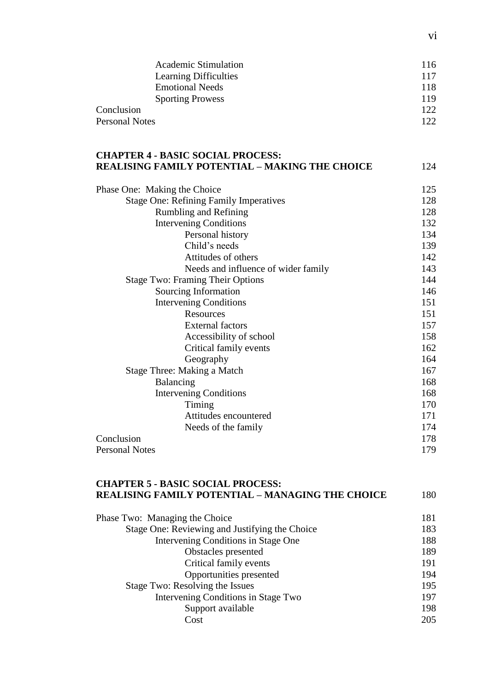| <b>Academic Stimulation</b> | 116 |
|-----------------------------|-----|
| Learning Difficulties       | 117 |
| <b>Emotional Needs</b>      | 118 |
| <b>Sporting Prowess</b>     | 119 |
| Conclusion                  | 122 |
| <b>Personal Notes</b>       | 122 |

#### **CHAPTER 4 - BASIC SOCIAL PROCESS: REALISING FAMILY POTENTIAL – MAKING THE CHOICE** 124

| Phase One: Making the Choice                  | 125 |
|-----------------------------------------------|-----|
| <b>Stage One: Refining Family Imperatives</b> | 128 |
| Rumbling and Refining                         | 128 |
| <b>Intervening Conditions</b>                 | 132 |
| Personal history                              | 134 |
| Child's needs                                 | 139 |
| Attitudes of others                           | 142 |
| Needs and influence of wider family           | 143 |
| <b>Stage Two: Framing Their Options</b>       | 144 |
| Sourcing Information                          | 146 |
| <b>Intervening Conditions</b>                 | 151 |
| Resources                                     | 151 |
| <b>External factors</b>                       | 157 |
| Accessibility of school                       | 158 |
| Critical family events                        | 162 |
| Geography                                     | 164 |
| Stage Three: Making a Match                   | 167 |
| Balancing                                     | 168 |
| <b>Intervening Conditions</b>                 | 168 |
| Timing                                        | 170 |
| Attitudes encountered                         | 171 |
| Needs of the family                           | 174 |
| Conclusion                                    | 178 |
| <b>Personal Notes</b>                         | 179 |

## **CHAPTER 5 - BASIC SOCIAL PROCESS: REALISING FAMILY POTENTIAL – MANAGING THE CHOICE** 180

| Phase Two: Managing the Choice                 | 181 |
|------------------------------------------------|-----|
| Stage One: Reviewing and Justifying the Choice | 183 |
| Intervening Conditions in Stage One            | 188 |
| Obstacles presented                            | 189 |
| Critical family events                         | 191 |
| Opportunities presented                        | 194 |
| Stage Two: Resolving the Issues                | 195 |
| Intervening Conditions in Stage Two            | 197 |
| Support available                              | 198 |
| Cost                                           | 205 |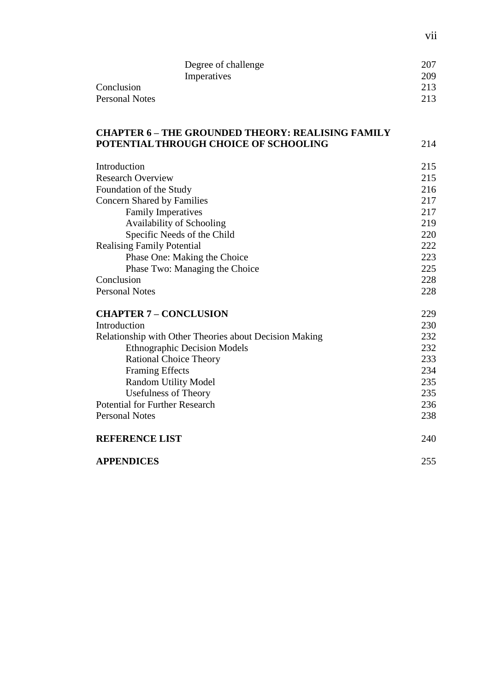|                | Degree of challenge | 207 |
|----------------|---------------------|-----|
|                | Imperatives         | 209 |
| Conclusion     |                     | 213 |
| Personal Notes |                     | 213 |

#### **CHAPTER 6 – THE GROUNDED THEORY: REALISING FAMILY POTENTIAL THROUGH CHOICE OF SCHOOLING** 214

| Introduction                                           | 215 |
|--------------------------------------------------------|-----|
| <b>Research Overview</b>                               | 215 |
| Foundation of the Study                                | 216 |
| <b>Concern Shared by Families</b>                      | 217 |
| <b>Family Imperatives</b>                              | 217 |
| Availability of Schooling                              | 219 |
| Specific Needs of the Child                            | 220 |
| <b>Realising Family Potential</b>                      | 222 |
| Phase One: Making the Choice                           | 223 |
| Phase Two: Managing the Choice                         | 225 |
| Conclusion                                             | 228 |
| <b>Personal Notes</b>                                  | 228 |
| <b>CHAPTER 7 - CONCLUSION</b>                          | 229 |
| Introduction                                           | 230 |
| Relationship with Other Theories about Decision Making | 232 |
| <b>Ethnographic Decision Models</b>                    | 232 |
| <b>Rational Choice Theory</b>                          | 233 |
| <b>Framing Effects</b>                                 | 234 |
| <b>Random Utility Model</b>                            | 235 |
| <b>Usefulness of Theory</b>                            | 235 |
| <b>Potential for Further Research</b>                  | 236 |
| <b>Personal Notes</b>                                  | 238 |
| <b>REFERENCE LIST</b>                                  | 240 |
| <b>APPENDICES</b>                                      | 255 |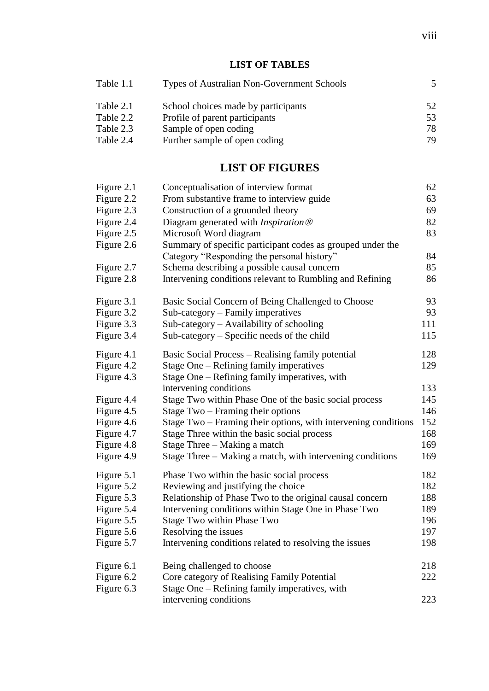#### **LIST OF TABLES**

| Table 1.1 | Types of Australian Non-Government Schools | 5  |
|-----------|--------------------------------------------|----|
| Table 2.1 | School choices made by participants        | 52 |
| Table 2.2 | Profile of parent participants             | 53 |
| Table 2.3 | Sample of open coding                      | 78 |
| Table 2.4 | Further sample of open coding              | 79 |

#### **LIST OF FIGURES**

| Figure 2.1 | Conceptualisation of interview format                          | 62  |
|------------|----------------------------------------------------------------|-----|
| Figure 2.2 | From substantive frame to interview guide                      | 63  |
| Figure 2.3 | Construction of a grounded theory                              | 69  |
| Figure 2.4 | Diagram generated with <i>Inspiration</i> $\circledR$          | 82  |
| Figure 2.5 | Microsoft Word diagram                                         | 83  |
| Figure 2.6 | Summary of specific participant codes as grouped under the     |     |
|            | Category "Responding the personal history"                     | 84  |
| Figure 2.7 | Schema describing a possible causal concern                    | 85  |
| Figure 2.8 | Intervening conditions relevant to Rumbling and Refining       | 86  |
| Figure 3.1 | Basic Social Concern of Being Challenged to Choose             | 93  |
| Figure 3.2 | Sub-category - Family imperatives                              | 93  |
| Figure 3.3 | Sub-category - Availability of schooling                       | 111 |
| Figure 3.4 | Sub-category – Specific needs of the child                     | 115 |
| Figure 4.1 | Basic Social Process – Realising family potential              | 128 |
| Figure 4.2 | Stage One – Refining family imperatives                        | 129 |
| Figure 4.3 | Stage One – Refining family imperatives, with                  |     |
|            | intervening conditions                                         | 133 |
| Figure 4.4 | Stage Two within Phase One of the basic social process         | 145 |
| Figure 4.5 | Stage Two – Framing their options                              | 146 |
| Figure 4.6 | Stage Two - Framing their options, with intervening conditions | 152 |
| Figure 4.7 | Stage Three within the basic social process                    | 168 |
| Figure 4.8 | Stage Three - Making a match                                   | 169 |
| Figure 4.9 | Stage Three – Making a match, with intervening conditions      | 169 |
| Figure 5.1 | Phase Two within the basic social process                      | 182 |
| Figure 5.2 | Reviewing and justifying the choice                            | 182 |
| Figure 5.3 | Relationship of Phase Two to the original causal concern       | 188 |
| Figure 5.4 | Intervening conditions within Stage One in Phase Two           | 189 |
| Figure 5.5 | Stage Two within Phase Two                                     | 196 |
| Figure 5.6 | Resolving the issues                                           | 197 |
| Figure 5.7 | Intervening conditions related to resolving the issues         | 198 |
| Figure 6.1 | Being challenged to choose                                     | 218 |
| Figure 6.2 | Core category of Realising Family Potential                    | 222 |
| Figure 6.3 | Stage One – Refining family imperatives, with                  |     |
|            | intervening conditions                                         | 223 |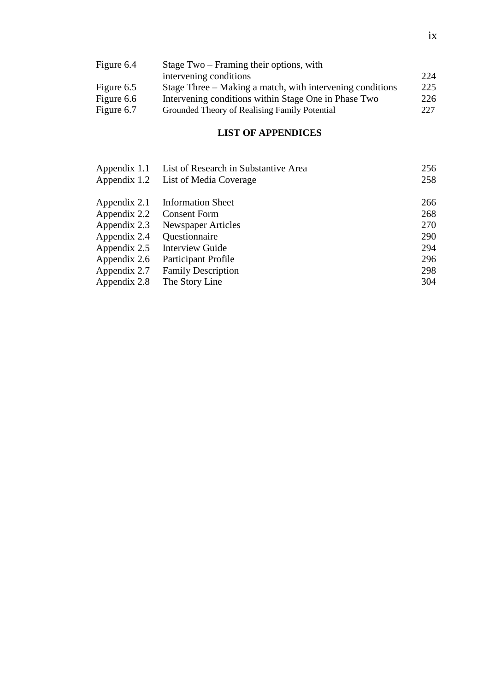| Figure 6.4 | Stage Two – Framing their options, with                   |     |
|------------|-----------------------------------------------------------|-----|
|            | intervening conditions                                    | 224 |
| Figure 6.5 | Stage Three – Making a match, with intervening conditions | 225 |
| Figure 6.6 | Intervening conditions within Stage One in Phase Two      | 226 |
| Figure 6.7 | Grounded Theory of Realising Family Potential             | 227 |

#### **LIST OF APPENDICES**

| Appendix 1.1 | List of Research in Substantive Area | 256 |
|--------------|--------------------------------------|-----|
| Appendix 1.2 | List of Media Coverage               | 258 |
| Appendix 2.1 | <b>Information Sheet</b>             | 266 |
| Appendix 2.2 | <b>Consent Form</b>                  | 268 |
| Appendix 2.3 | <b>Newspaper Articles</b>            | 270 |
| Appendix 2.4 | Questionnaire                        | 290 |
| Appendix 2.5 | <b>Interview Guide</b>               | 294 |
| Appendix 2.6 | <b>Participant Profile</b>           | 296 |
| Appendix 2.7 | <b>Family Description</b>            | 298 |
| Appendix 2.8 | The Story Line                       | 304 |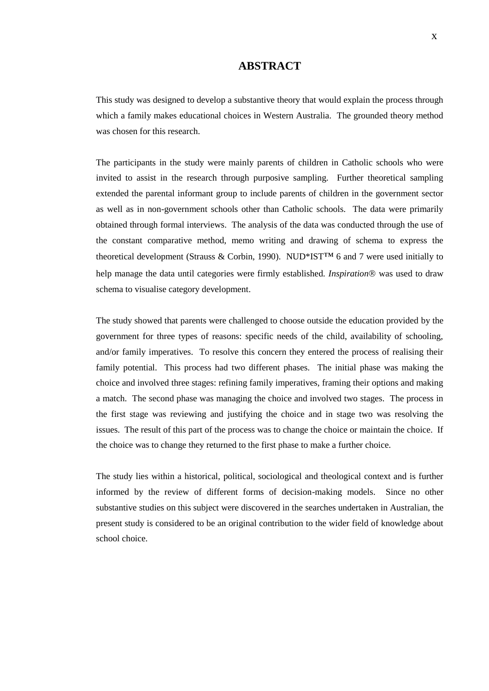#### **ABSTRACT**

This study was designed to develop a substantive theory that would explain the process through which a family makes educational choices in Western Australia. The grounded theory method was chosen for this research.

The participants in the study were mainly parents of children in Catholic schools who were invited to assist in the research through purposive sampling. Further theoretical sampling extended the parental informant group to include parents of children in the government sector as well as in non-government schools other than Catholic schools. The data were primarily obtained through formal interviews. The analysis of the data was conducted through the use of the constant comparative method, memo writing and drawing of schema to express the theoretical development (Strauss & Corbin, 1990). NUD\*IST<sup>TM</sup> 6 and 7 were used initially to help manage the data until categories were firmly established. *Inspiration®* was used to draw schema to visualise category development.

The study showed that parents were challenged to choose outside the education provided by the government for three types of reasons: specific needs of the child, availability of schooling, and/or family imperatives. To resolve this concern they entered the process of realising their family potential. This process had two different phases. The initial phase was making the choice and involved three stages: refining family imperatives, framing their options and making a match. The second phase was managing the choice and involved two stages. The process in the first stage was reviewing and justifying the choice and in stage two was resolving the issues. The result of this part of the process was to change the choice or maintain the choice. If the choice was to change they returned to the first phase to make a further choice.

The study lies within a historical, political, sociological and theological context and is further informed by the review of different forms of decision-making models. Since no other substantive studies on this subject were discovered in the searches undertaken in Australian, the present study is considered to be an original contribution to the wider field of knowledge about school choice.